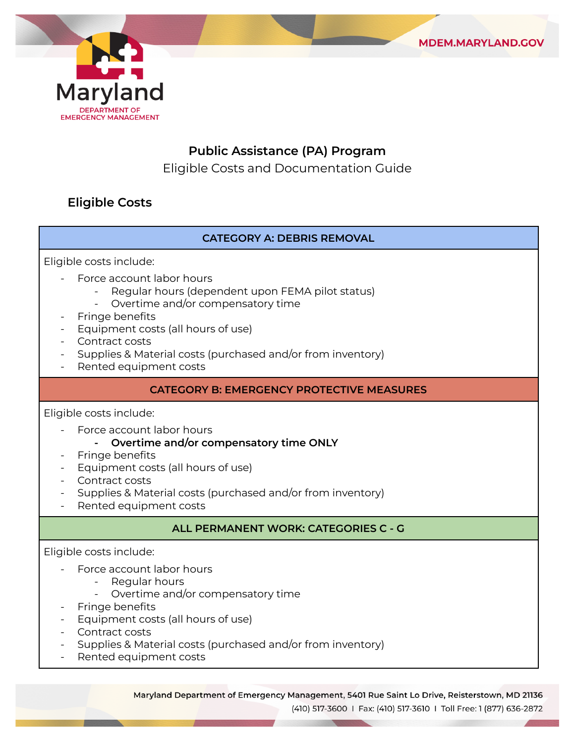



# **Public Assistance (PA) Program**

Eligible Costs and Documentation Guide

# **Eligible Costs**

### **CATEGORY A: DEBRIS REMOVAL**

Eligible costs include:

- Force account labor hours
	- Regular hours (dependent upon FEMA pilot status)
	- Overtime and/or compensatory time
- Fringe benefits
- Equipment costs (all hours of use)
- Contract costs
- Supplies & Material costs (purchased and/or from inventory)
- Rented equipment costs

### **CATEGORY B: EMERGENCY PROTECTIVE MEASURES**

Eligible costs include:

Force account labor hours

#### **- Overtime and/or compensatory time ONLY**

- Fringe benefits
- Equipment costs (all hours of use)
- Contract costs
- Supplies & Material costs (purchased and/or from inventory)
- Rented equipment costs

### **ALL PERMANENT WORK: CATEGORIES C - G**

Eligible costs include:

- Force account labor hours
	- Regular hours
	- Overtime and/or compensatory time
- Fringe benefits
- Equipment costs (all hours of use)
- Contract costs
- Supplies & Material costs (purchased and/or from inventory)
- Rented equipment costs

Maryland Department of Emergency Management, 5401 Rue Saint Lo Drive, Reisterstown, MD 21136

(410) 517-3600 | Fax: (410) 517-3610 | Toll Free: 1 (877) 636-2872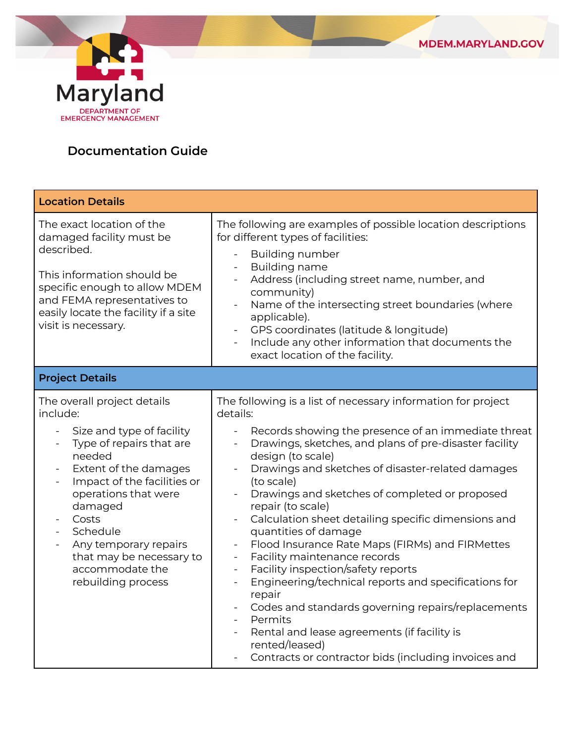



# **Documentation Guide**

| <b>Location Details</b>                                                                                                                                                                                                                                                                                                                                                                                                        |                                                                                                                                                                                                                                                                                                                                                                                                                                                                                                                                                                                                                                                                                                                                                                                                                                                                                                                                                                                    |  |
|--------------------------------------------------------------------------------------------------------------------------------------------------------------------------------------------------------------------------------------------------------------------------------------------------------------------------------------------------------------------------------------------------------------------------------|------------------------------------------------------------------------------------------------------------------------------------------------------------------------------------------------------------------------------------------------------------------------------------------------------------------------------------------------------------------------------------------------------------------------------------------------------------------------------------------------------------------------------------------------------------------------------------------------------------------------------------------------------------------------------------------------------------------------------------------------------------------------------------------------------------------------------------------------------------------------------------------------------------------------------------------------------------------------------------|--|
| The exact location of the<br>damaged facility must be<br>described.<br>This information should be<br>specific enough to allow MDEM<br>and FEMA representatives to<br>easily locate the facility if a site<br>visit is necessary.                                                                                                                                                                                               | The following are examples of possible location descriptions<br>for different types of facilities:<br><b>Building number</b><br>$\blacksquare$<br><b>Building name</b><br>$\blacksquare$<br>Address (including street name, number, and<br>community)<br>Name of the intersecting street boundaries (where<br>$\blacksquare$<br>applicable).<br>GPS coordinates (latitude & longitude)<br>$\blacksquare$<br>Include any other information that documents the<br>exact location of the facility.                                                                                                                                                                                                                                                                                                                                                                                                                                                                                    |  |
| <b>Project Details</b>                                                                                                                                                                                                                                                                                                                                                                                                         |                                                                                                                                                                                                                                                                                                                                                                                                                                                                                                                                                                                                                                                                                                                                                                                                                                                                                                                                                                                    |  |
| The overall project details<br>include:<br>Size and type of facility<br>$\blacksquare$<br>Type of repairs that are<br>$\overline{\phantom{a}}$<br>needed<br>Extent of the damages<br>$\overline{\phantom{a}}$<br>Impact of the facilities or<br>$\overline{\phantom{a}}$<br>operations that were<br>damaged<br>Costs<br>Schedule<br>Any temporary repairs<br>that may be necessary to<br>accommodate the<br>rebuilding process | The following is a list of necessary information for project<br>details:<br>Records showing the presence of an immediate threat<br>$\equiv$<br>Drawings, sketches, and plans of pre-disaster facility<br>design (to scale)<br>Drawings and sketches of disaster-related damages<br>(to scale)<br>Drawings and sketches of completed or proposed<br>repair (to scale)<br>Calculation sheet detailing specific dimensions and<br>quantities of damage<br>Flood Insurance Rate Maps (FIRMs) and FIRMettes<br>Facility maintenance records<br>$\blacksquare$<br>Facility inspection/safety reports<br>$\overline{\phantom{a}}$<br>Engineering/technical reports and specifications for<br>$\overline{\phantom{a}}$<br>repair<br>Codes and standards governing repairs/replacements<br>$\overline{\phantom{0}}$<br>Permits<br>$\blacksquare$<br>Rental and lease agreements (if facility is<br>rented/leased)<br>Contracts or contractor bids (including invoices and<br>$\blacksquare$ |  |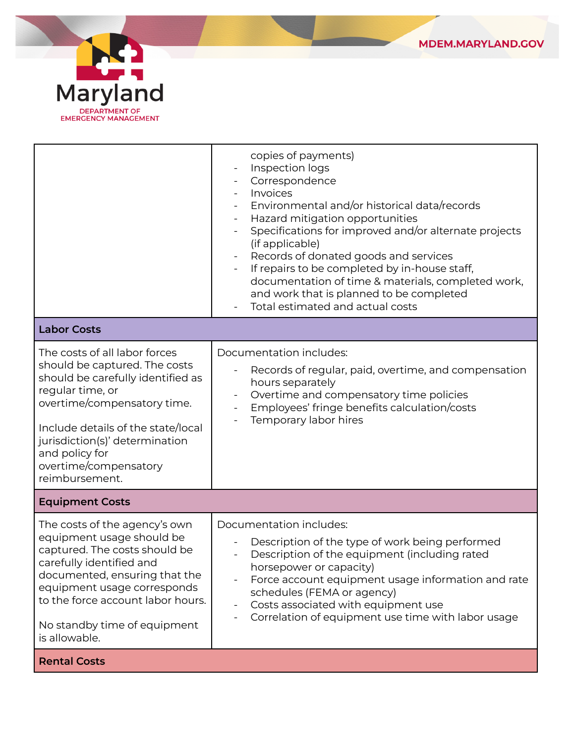



|                                                                                                                                                                                                                                                                                             | copies of payments)<br>Inspection logs<br>Correspondence<br>Invoices<br>Environmental and/or historical data/records<br>Hazard mitigation opportunities<br>$\overline{\phantom{a}}$<br>Specifications for improved and/or alternate projects<br>(if applicable)<br>Records of donated goods and services<br>$\overline{\phantom{a}}$<br>If repairs to be completed by in-house staff,<br>$\blacksquare$<br>documentation of time & materials, completed work,<br>and work that is planned to be completed<br>Total estimated and actual costs |  |  |
|---------------------------------------------------------------------------------------------------------------------------------------------------------------------------------------------------------------------------------------------------------------------------------------------|-----------------------------------------------------------------------------------------------------------------------------------------------------------------------------------------------------------------------------------------------------------------------------------------------------------------------------------------------------------------------------------------------------------------------------------------------------------------------------------------------------------------------------------------------|--|--|
| <b>Labor Costs</b>                                                                                                                                                                                                                                                                          |                                                                                                                                                                                                                                                                                                                                                                                                                                                                                                                                               |  |  |
| The costs of all labor forces<br>should be captured. The costs<br>should be carefully identified as<br>regular time, or<br>overtime/compensatory time.<br>Include details of the state/local<br>jurisdiction(s)' determination<br>and policy for<br>overtime/compensatory<br>reimbursement. | Documentation includes:<br>Records of regular, paid, overtime, and compensation<br>hours separately<br>Overtime and compensatory time policies<br>Employees' fringe benefits calculation/costs<br>Temporary labor hires                                                                                                                                                                                                                                                                                                                       |  |  |
| <b>Equipment Costs</b>                                                                                                                                                                                                                                                                      |                                                                                                                                                                                                                                                                                                                                                                                                                                                                                                                                               |  |  |
| The costs of the agency's own<br>equipment usage should be<br>captured. The costs should be<br>carefully identified and<br>documented, ensuring that the<br>equipment usage corresponds<br>to the force account labor hours.<br>No standby time of equipment<br>is allowable.               | Documentation includes:<br>Description of the type of work being performed<br>Description of the equipment (including rated<br>horsepower or capacity)<br>Force account equipment usage information and rate<br>schedules (FEMA or agency)<br>Costs associated with equipment use<br>$\overline{\phantom{a}}$<br>Correlation of equipment use time with labor usage                                                                                                                                                                           |  |  |
| <b>Rental Costs</b>                                                                                                                                                                                                                                                                         |                                                                                                                                                                                                                                                                                                                                                                                                                                                                                                                                               |  |  |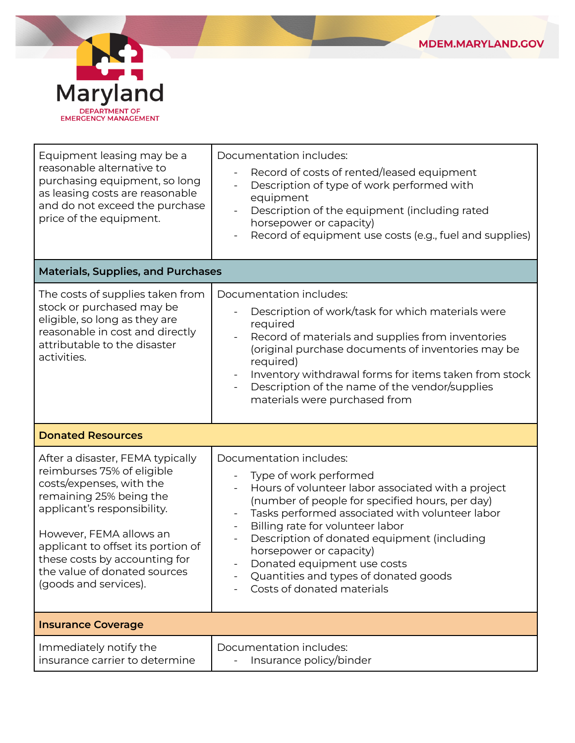



| Equipment leasing may be a<br>reasonable alternative to<br>purchasing equipment, so long<br>as leasing costs are reasonable<br>and do not exceed the purchase<br>price of the equipment.                                                                                                                        | Documentation includes:<br>Record of costs of rented/leased equipment<br>Description of type of work performed with<br>equipment<br>Description of the equipment (including rated<br>horsepower or capacity)<br>Record of equipment use costs (e.g., fuel and supplies)<br>$\qquad \qquad \blacksquare$                                                                                                                                                               |  |
|-----------------------------------------------------------------------------------------------------------------------------------------------------------------------------------------------------------------------------------------------------------------------------------------------------------------|-----------------------------------------------------------------------------------------------------------------------------------------------------------------------------------------------------------------------------------------------------------------------------------------------------------------------------------------------------------------------------------------------------------------------------------------------------------------------|--|
| <b>Materials, Supplies, and Purchases</b>                                                                                                                                                                                                                                                                       |                                                                                                                                                                                                                                                                                                                                                                                                                                                                       |  |
| The costs of supplies taken from<br>stock or purchased may be<br>eligible, so long as they are<br>reasonable in cost and directly<br>attributable to the disaster<br>activities.                                                                                                                                | Documentation includes:<br>Description of work/task for which materials were<br>required<br>Record of materials and supplies from inventories<br>$\blacksquare$<br>(original purchase documents of inventories may be<br>required)<br>Inventory withdrawal forms for items taken from stock<br>$\overline{\phantom{a}}$<br>Description of the name of the vendor/supplies<br>materials were purchased from                                                            |  |
| <b>Donated Resources</b>                                                                                                                                                                                                                                                                                        |                                                                                                                                                                                                                                                                                                                                                                                                                                                                       |  |
| After a disaster, FEMA typically<br>reimburses 75% of eligible<br>costs/expenses, with the<br>remaining 25% being the<br>applicant's responsibility.<br>However, FEMA allows an<br>applicant to offset its portion of<br>these costs by accounting for<br>the value of donated sources<br>(goods and services). | Documentation includes:<br>Type of work performed<br>Hours of volunteer labor associated with a project<br>$\blacksquare$<br>(number of people for specified hours, per day)<br>Tasks performed associated with volunteer labor<br>Billing rate for volunteer labor<br>$\blacksquare$<br>Description of donated equipment (including<br>horsepower or capacity)<br>Donated equipment use costs<br>Quantities and types of donated goods<br>Costs of donated materials |  |
| <b>Insurance Coverage</b>                                                                                                                                                                                                                                                                                       |                                                                                                                                                                                                                                                                                                                                                                                                                                                                       |  |
| Immediately notify the<br>insurance carrier to determine                                                                                                                                                                                                                                                        | Documentation includes:<br>Insurance policy/binder                                                                                                                                                                                                                                                                                                                                                                                                                    |  |